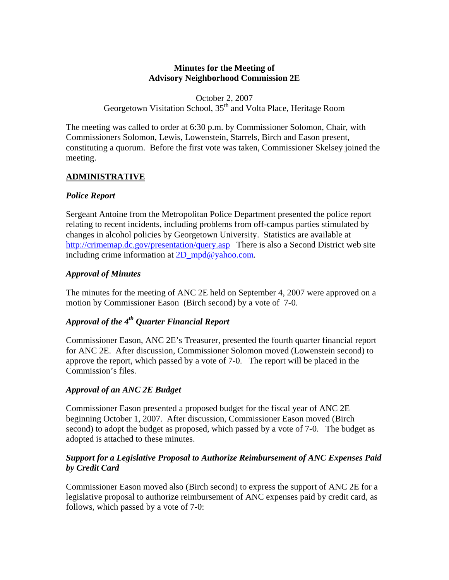## **Minutes for the Meeting of Advisory Neighborhood Commission 2E**

October 2, 2007 Georgetown Visitation School, 35<sup>th</sup> and Volta Place, Heritage Room

The meeting was called to order at 6:30 p.m. by Commissioner Solomon, Chair, with Commissioners Solomon, Lewis, Lowenstein, Starrels, Birch and Eason present, constituting a quorum. Before the first vote was taken, Commissioner Skelsey joined the meeting.

## **ADMINISTRATIVE**

## *Police Report*

Sergeant Antoine from the Metropolitan Police Department presented the police report relating to recent incidents, including problems from off-campus parties stimulated by changes in alcohol policies by Georgetown University. Statistics are available at <http://crimemap.dc.gov/presentation/query.asp>There is also a Second District web site including crime information at [2D\\_mpd@yahoo.com.](mailto:2D_mpd@yahoo.com)

## *Approval of Minutes*

The minutes for the meeting of ANC 2E held on September 4, 2007 were approved on a motion by Commissioner Eason (Birch second) by a vote of 7-0.

## *Approval of the 4th Quarter Financial Report*

Commissioner Eason, ANC 2E's Treasurer, presented the fourth quarter financial report for ANC 2E. After discussion, Commissioner Solomon moved (Lowenstein second) to approve the report, which passed by a vote of 7-0. The report will be placed in the Commission's files.

## *Approval of an ANC 2E Budget*

Commissioner Eason presented a proposed budget for the fiscal year of ANC 2E beginning October 1, 2007. After discussion, Commissioner Eason moved (Birch second) to adopt the budget as proposed, which passed by a vote of 7-0. The budget as adopted is attached to these minutes.

## *Support for a Legislative Proposal to Authorize Reimbursement of ANC Expenses Paid by Credit Card*

Commissioner Eason moved also (Birch second) to express the support of ANC 2E for a legislative proposal to authorize reimbursement of ANC expenses paid by credit card, as follows, which passed by a vote of 7-0: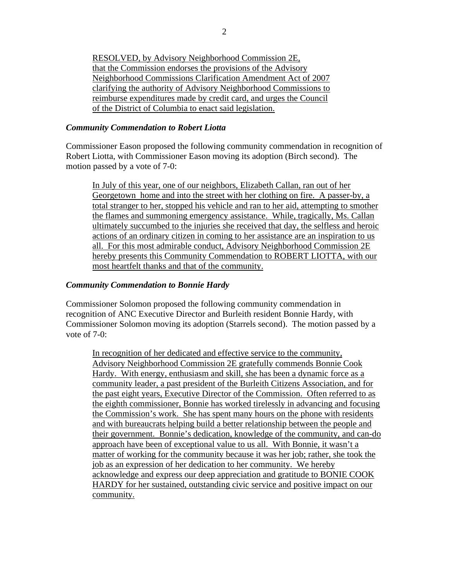RESOLVED, by Advisory Neighborhood Commission 2E, that the Commission endorses the provisions of the Advisory Neighborhood Commissions Clarification Amendment Act of 2007 clarifying the authority of Advisory Neighborhood Commissions to reimburse expenditures made by credit card, and urges the Council of the District of Columbia to enact said legislation.

#### *Community Commendation to Robert Liotta*

Commissioner Eason proposed the following community commendation in recognition of Robert Liotta, with Commissioner Eason moving its adoption (Birch second). The motion passed by a vote of 7-0:

In July of this year, one of our neighbors, Elizabeth Callan, ran out of her Georgetown home and into the street with her clothing on fire. A passer-by, a total stranger to her, stopped his vehicle and ran to her aid, attempting to smother the flames and summoning emergency assistance. While, tragically, Ms. Callan ultimately succumbed to the injuries she received that day, the selfless and heroic actions of an ordinary citizen in coming to her assistance are an inspiration to us all. For this most admirable conduct, Advisory Neighborhood Commission 2E hereby presents this Community Commendation to ROBERT LIOTTA, with our most heartfelt thanks and that of the community.

#### *Community Commendation to Bonnie Hardy*

Commissioner Solomon proposed the following community commendation in recognition of ANC Executive Director and Burleith resident Bonnie Hardy, with Commissioner Solomon moving its adoption (Starrels second). The motion passed by a vote of 7-0:

In recognition of her dedicated and effective service to the community, Advisory Neighborhood Commission 2E gratefully commends Bonnie Cook Hardy. With energy, enthusiasm and skill, she has been a dynamic force as a community leader, a past president of the Burleith Citizens Association, and for the past eight years, Executive Director of the Commission. Often referred to as the eighth commissioner, Bonnie has worked tirelessly in advancing and focusing the Commission's work. She has spent many hours on the phone with residents and with bureaucrats helping build a better relationship between the people and their government. Bonnie's dedication, knowledge of the community, and can-do approach have been of exceptional value to us all. With Bonnie, it wasn't a matter of working for the community because it was her job; rather, she took the job as an expression of her dedication to her community. We hereby acknowledge and express our deep appreciation and gratitude to BONIE COOK HARDY for her sustained, outstanding civic service and positive impact on our community.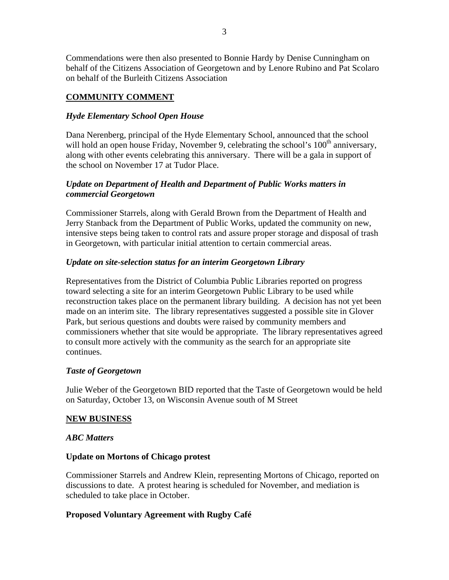Commendations were then also presented to Bonnie Hardy by Denise Cunningham on behalf of the Citizens Association of Georgetown and by Lenore Rubino and Pat Scolaro on behalf of the Burleith Citizens Association

## **COMMUNITY COMMENT**

## *Hyde Elementary School Open House*

Dana Nerenberg, principal of the Hyde Elementary School, announced that the school will hold an open house Friday, November 9, celebrating the school's  $100<sup>th</sup>$  anniversary, along with other events celebrating this anniversary. There will be a gala in support of the school on November 17 at Tudor Place.

## *Update on Department of Health and Department of Public Works matters in commercial Georgetown*

Commissioner Starrels, along with Gerald Brown from the Department of Health and Jerry Stanback from the Department of Public Works, updated the community on new, intensive steps being taken to control rats and assure proper storage and disposal of trash in Georgetown, with particular initial attention to certain commercial areas.

### *Update on site-selection status for an interim Georgetown Library*

Representatives from the District of Columbia Public Libraries reported on progress toward selecting a site for an interim Georgetown Public Library to be used while reconstruction takes place on the permanent library building. A decision has not yet been made on an interim site. The library representatives suggested a possible site in Glover Park, but serious questions and doubts were raised by community members and commissioners whether that site would be appropriate. The library representatives agreed to consult more actively with the community as the search for an appropriate site continues.

#### *Taste of Georgetown*

Julie Weber of the Georgetown BID reported that the Taste of Georgetown would be held on Saturday, October 13, on Wisconsin Avenue south of M Street

#### **NEW BUSINESS**

#### *ABC Matters*

#### **Update on Mortons of Chicago protest**

Commissioner Starrels and Andrew Klein, representing Mortons of Chicago, reported on discussions to date. A protest hearing is scheduled for November, and mediation is scheduled to take place in October.

## **Proposed Voluntary Agreement with Rugby Café**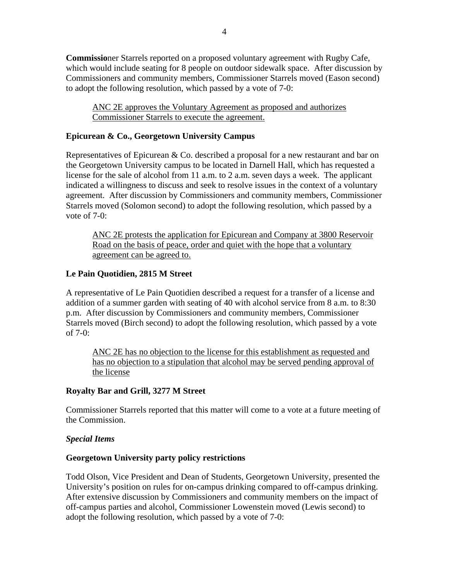**Commissio**ner Starrels reported on a proposed voluntary agreement with Rugby Cafe, which would include seating for 8 people on outdoor sidewalk space. After discussion by Commissioners and community members, Commissioner Starrels moved (Eason second) to adopt the following resolution, which passed by a vote of 7-0:

ANC 2E approves the Voluntary Agreement as proposed and authorizes Commissioner Starrels to execute the agreement.

## **Epicurean & Co., Georgetown University Campus**

Representatives of Epicurean & Co. described a proposal for a new restaurant and bar on the Georgetown University campus to be located in Darnell Hall, which has requested a license for the sale of alcohol from 11 a.m. to 2 a.m. seven days a week. The applicant indicated a willingness to discuss and seek to resolve issues in the context of a voluntary agreement. After discussion by Commissioners and community members, Commissioner Starrels moved (Solomon second) to adopt the following resolution, which passed by a vote of  $7-0$ :

ANC 2E protests the application for Epicurean and Company at 3800 Reservoir Road on the basis of peace, order and quiet with the hope that a voluntary agreement can be agreed to.

## **Le Pain Quotidien, 2815 M Street**

A representative of Le Pain Quotidien described a request for a transfer of a license and addition of a summer garden with seating of 40 with alcohol service from 8 a.m. to 8:30 p.m. After discussion by Commissioners and community members, Commissioner Starrels moved (Birch second) to adopt the following resolution, which passed by a vote of 7-0:

ANC 2E has no objection to the license for this establishment as requested and has no objection to a stipulation that alcohol may be served pending approval of the license

## **Royalty Bar and Grill, 3277 M Street**

Commissioner Starrels reported that this matter will come to a vote at a future meeting of the Commission.

## *Special Items*

## **Georgetown University party policy restrictions**

Todd Olson, Vice President and Dean of Students, Georgetown University, presented the University's position on rules for on-campus drinking compared to off-campus drinking. After extensive discussion by Commissioners and community members on the impact of off-campus parties and alcohol, Commissioner Lowenstein moved (Lewis second) to adopt the following resolution, which passed by a vote of 7-0: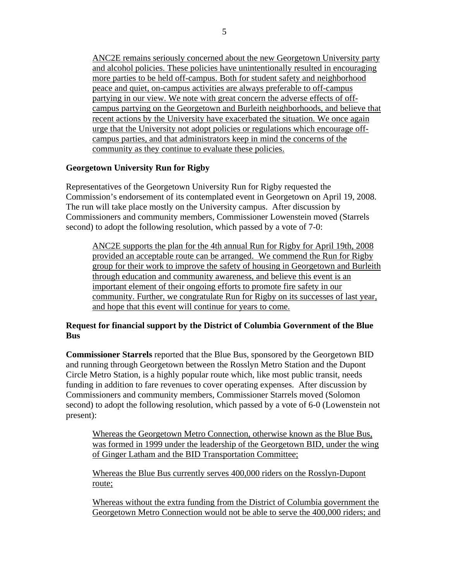ANC2E remains seriously concerned about the new Georgetown University party and alcohol policies. These policies have unintentionally resulted in encouraging more parties to be held off-campus. Both for student safety and neighborhood peace and quiet, on-campus activities are always preferable to off-campus partying in our view. We note with great concern the adverse effects of offcampus partying on the Georgetown and Burleith neighborhoods, and believe that recent actions by the University have exacerbated the situation. We once again urge that the University not adopt policies or regulations which encourage offcampus parties, and that administrators keep in mind the concerns of the community as they continue to evaluate these policies.

## **Georgetown University Run for Rigby**

Representatives of the Georgetown University Run for Rigby requested the Commission's endorsement of its contemplated event in Georgetown on April 19, 2008. The run will take place mostly on the University campus. After discussion by Commissioners and community members, Commissioner Lowenstein moved (Starrels second) to adopt the following resolution, which passed by a vote of 7-0:

ANC2E supports the plan for the 4th annual Run for Rigby for April 19th, 2008 provided an acceptable route can be arranged. We commend the Run for Rigby group for their work to improve the safety of housing in Georgetown and Burleith through education and community awareness, and believe this event is an important element of their ongoing efforts to promote fire safety in our community. Further, we congratulate Run for Rigby on its successes of last year, and hope that this event will continue for years to come.

### **Request for financial support by the District of Columbia Government of the Blue Bus**

**Commissioner Starrels** reported that the Blue Bus, sponsored by the Georgetown BID and running through Georgetown between the Rosslyn Metro Station and the Dupont Circle Metro Station, is a highly popular route which, like most public transit, needs funding in addition to fare revenues to cover operating expenses. After discussion by Commissioners and community members, Commissioner Starrels moved (Solomon second) to adopt the following resolution, which passed by a vote of 6-0 (Lowenstein not present):

Whereas the Georgetown Metro Connection, otherwise known as the Blue Bus, was formed in 1999 under the leadership of the Georgetown BID, under the wing of Ginger Latham and the BID Transportation Committee;

Whereas the Blue Bus currently serves 400,000 riders on the Rosslyn-Dupont route;

Whereas without the extra funding from the District of Columbia government the Georgetown Metro Connection would not be able to serve the 400,000 riders; and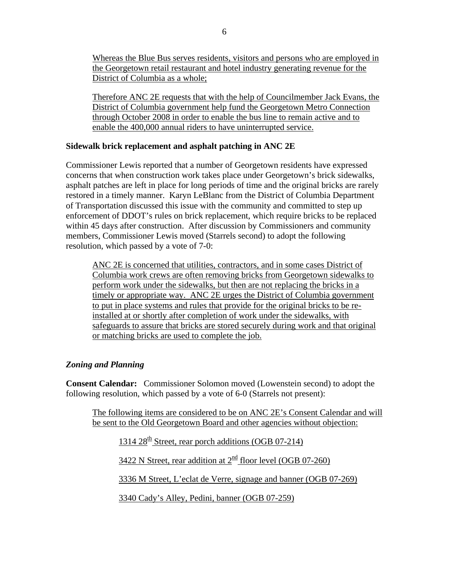Whereas the Blue Bus serves residents, visitors and persons who are employed in the Georgetown retail restaurant and hotel industry generating revenue for the District of Columbia as a whole;

Therefore ANC 2E requests that with the help of Councilmember Jack Evans, the District of Columbia government help fund the Georgetown Metro Connection through October 2008 in order to enable the bus line to remain active and to enable the 400,000 annual riders to have uninterrupted service.

### **Sidewalk brick replacement and asphalt patching in ANC 2E**

Commissioner Lewis reported that a number of Georgetown residents have expressed concerns that when construction work takes place under Georgetown's brick sidewalks, asphalt patches are left in place for long periods of time and the original bricks are rarely restored in a timely manner. Karyn LeBlanc from the District of Columbia Department of Transportation discussed this issue with the community and committed to step up enforcement of DDOT's rules on brick replacement, which require bricks to be replaced within 45 days after construction. After discussion by Commissioners and community members, Commissioner Lewis moved (Starrels second) to adopt the following resolution, which passed by a vote of 7-0:

ANC 2E is concerned that utilities, contractors, and in some cases District of Columbia work crews are often removing bricks from Georgetown sidewalks to perform work under the sidewalks, but then are not replacing the bricks in a timely or appropriate way. ANC 2E urges the District of Columbia government to put in place systems and rules that provide for the original bricks to be reinstalled at or shortly after completion of work under the sidewalks, with safeguards to assure that bricks are stored securely during work and that original or matching bricks are used to complete the job.

## *Zoning and Planning*

**Consent Calendar:**Commissioner Solomon moved (Lowenstein second) to adopt the following resolution, which passed by a vote of 6-0 (Starrels not present):

The following items are considered to be on ANC 2E's Consent Calendar and will be sent to the Old Georgetown Board and other agencies without objection:

 $1314\ 28^{\text{th}}$  Street, rear porch additions (OGB 07-214)

3422 N Street, rear addition at  $2^{\text{nd}}$  floor level (OGB 07-260)

3336 M Street, L'eclat de Verre, signage and banner (OGB 07-269)

3340 Cady's Alley, Pedini, banner (OGB 07-259)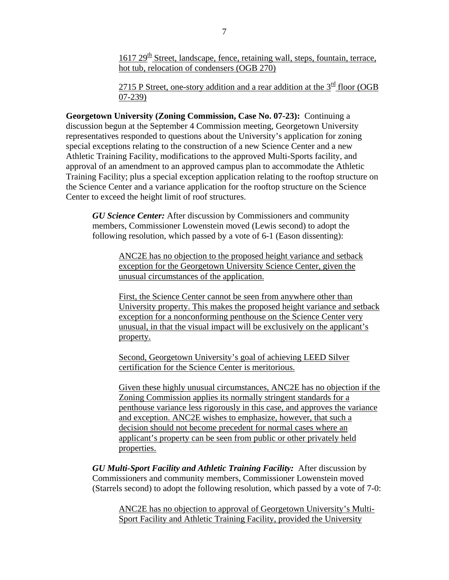$1617 29<sup>th</sup>$  Street, landscape, fence, retaining wall, steps, fountain, terrace, hot tub, relocation of condensers (OGB 270)

2715 P Street, one-story addition and a rear addition at the  $3<sup>rd</sup>$  floor (OGB 07-239)

**Georgetown University (Zoning Commission, Case No. 07-23):** Continuing a discussion begun at the September 4 Commission meeting, Georgetown University representatives responded to questions about the University's application for zoning special exceptions relating to the construction of a new Science Center and a new Athletic Training Facility, modifications to the approved Multi-Sports facility, and approval of an amendment to an approved campus plan to accommodate the Athletic Training Facility; plus a special exception application relating to the rooftop structure on the Science Center and a variance application for the rooftop structure on the Science Center to exceed the height limit of roof structures.

*GU Science Center:* After discussion by Commissioners and community members, Commissioner Lowenstein moved (Lewis second) to adopt the following resolution, which passed by a vote of 6-1 (Eason dissenting):

> ANC2E has no objection to the proposed height variance and setback exception for the Georgetown University Science Center, given the unusual circumstances of the application.

First, the Science Center cannot be seen from anywhere other than University property. This makes the proposed height variance and setback exception for a nonconforming penthouse on the Science Center very unusual, in that the visual impact will be exclusively on the applicant's property.

Second, Georgetown University's goal of achieving LEED Silver certification for the Science Center is meritorious.

Given these highly unusual circumstances, ANC2E has no objection if the Zoning Commission applies its normally stringent standards for a penthouse variance less rigorously in this case, and approves the variance and exception. ANC2E wishes to emphasize, however, that such a decision should not become precedent for normal cases where an applicant's property can be seen from public or other privately held properties.

*GU Multi-Sport Facility and Athletic Training Facility:*After discussion by Commissioners and community members, Commissioner Lowenstein moved (Starrels second) to adopt the following resolution, which passed by a vote of 7-0:

ANC2E has no objection to approval of Georgetown University's Multi-Sport Facility and Athletic Training Facility, provided the University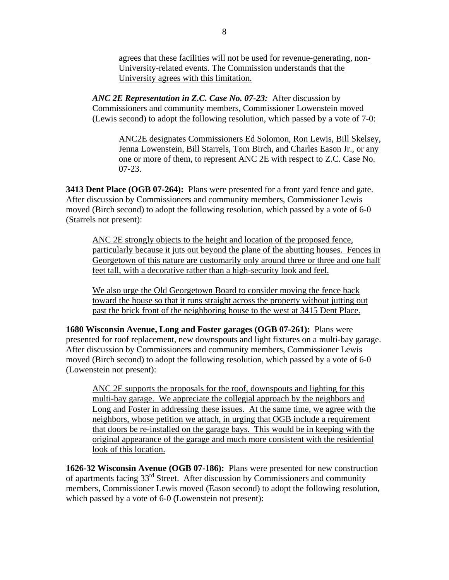agrees that these facilities will not be used for revenue-generating, non-University-related events. The Commission understands that the University agrees with this limitation.

*ANC 2E Representation in Z.C. Case No. 07-23:*After discussion by Commissioners and community members, Commissioner Lowenstein moved (Lewis second) to adopt the following resolution, which passed by a vote of 7-0:

ANC2E designates Commissioners Ed Solomon, Ron Lewis, Bill Skelsey, Jenna Lowenstein, Bill Starrels, Tom Birch, and Charles Eason Jr., or any one or more of them, to represent ANC 2E with respect to Z.C. Case No. 07-23.

**3413 Dent Place (OGB 07-264):** Plans were presented for a front yard fence and gate. After discussion by Commissioners and community members, Commissioner Lewis moved (Birch second) to adopt the following resolution, which passed by a vote of 6-0 (Starrels not present):

ANC 2E strongly objects to the height and location of the proposed fence, particularly because it juts out beyond the plane of the abutting houses. Fences in Georgetown of this nature are customarily only around three or three and one half feet tall, with a decorative rather than a high-security look and feel.

We also urge the Old Georgetown Board to consider moving the fence back toward the house so that it runs straight across the property without jutting out past the brick front of the neighboring house to the west at 3415 Dent Place.

**1680 Wisconsin Avenue, Long and Foster garages (OGB 07-261):**Plans were presented for roof replacement, new downspouts and light fixtures on a multi-bay garage. After discussion by Commissioners and community members, Commissioner Lewis moved (Birch second) to adopt the following resolution, which passed by a vote of 6-0 (Lowenstein not present):

ANC 2E supports the proposals for the roof, downspouts and lighting for this multi-bay garage. We appreciate the collegial approach by the neighbors and Long and Foster in addressing these issues. At the same time, we agree with the neighbors, whose petition we attach, in urging that OGB include a requirement that doors be re-installed on the garage bays. This would be in keeping with the original appearance of the garage and much more consistent with the residential look of this location.

**1626-32 Wisconsin Avenue (OGB 07-186):**Plans were presented for new construction of apartments facing 33rd Street. After discussion by Commissioners and community members, Commissioner Lewis moved (Eason second) to adopt the following resolution, which passed by a vote of 6-0 (Lowenstein not present):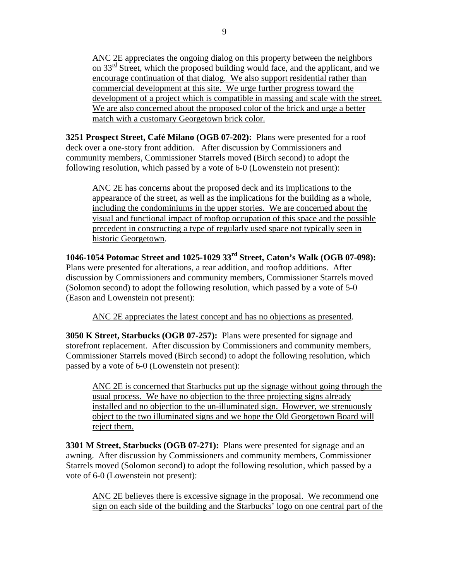ANC 2E appreciates the ongoing dialog on this property between the neighbors on  $33^{\text{rd}}$  Street, which the proposed building would face, and the applicant, and we encourage continuation of that dialog. We also support residential rather than commercial development at this site. We urge further progress toward the development of a project which is compatible in massing and scale with the street. We are also concerned about the proposed color of the brick and urge a better match with a customary Georgetown brick color.

**3251 Prospect Street, Café Milano (OGB 07-202):**Plans were presented for a roof deck over a one-story front addition. After discussion by Commissioners and community members, Commissioner Starrels moved (Birch second) to adopt the following resolution, which passed by a vote of 6-0 (Lowenstein not present):

ANC 2E has concerns about the proposed deck and its implications to the appearance of the street, as well as the implications for the building as a whole, including the condominiums in the upper stories. We are concerned about the visual and functional impact of rooftop occupation of this space and the possible precedent in constructing a type of regularly used space not typically seen in historic Georgetown.

**1046-1054 Potomac Street and 1025-1029 33rd Street, Caton's Walk (OGB 07-098):** Plans were presented for alterations, a rear addition, and rooftop additions. After discussion by Commissioners and community members, Commissioner Starrels moved (Solomon second) to adopt the following resolution, which passed by a vote of 5-0 (Eason and Lowenstein not present):

ANC 2E appreciates the latest concept and has no objections as presented.

**3050 K Street, Starbucks (OGB 07-257):**Plans were presented for signage and storefront replacement. After discussion by Commissioners and community members, Commissioner Starrels moved (Birch second) to adopt the following resolution, which passed by a vote of 6-0 (Lowenstein not present):

ANC 2E is concerned that Starbucks put up the signage without going through the usual process. We have no objection to the three projecting signs already installed and no objection to the un-illuminated sign. However, we strenuously object to the two illuminated signs and we hope the Old Georgetown Board will reject them.

**3301 M Street, Starbucks (OGB 07-271):**Plans were presented for signage and an awning. After discussion by Commissioners and community members, Commissioner Starrels moved (Solomon second) to adopt the following resolution, which passed by a vote of 6-0 (Lowenstein not present):

ANC 2E believes there is excessive signage in the proposal. We recommend one sign on each side of the building and the Starbucks' logo on one central part of the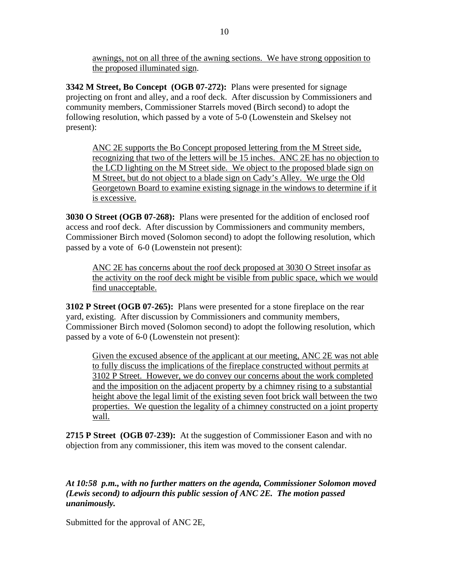awnings, not on all three of the awning sections. We have strong opposition to the proposed illuminated sign.

**3342 M Street, Bo Concept (OGB 07-272):**Plans were presented for signage projecting on front and alley, and a roof deck. After discussion by Commissioners and community members, Commissioner Starrels moved (Birch second) to adopt the following resolution, which passed by a vote of 5-0 (Lowenstein and Skelsey not present):

ANC 2E supports the Bo Concept proposed lettering from the M Street side, recognizing that two of the letters will be 15 inches. ANC 2E has no objection to the LCD lighting on the M Street side. We object to the proposed blade sign on M Street, but do not object to a blade sign on Cady's Alley. We urge the Old Georgetown Board to examine existing signage in the windows to determine if it is excessive.

**3030 O Street (OGB 07-268):**Plans were presented for the addition of enclosed roof access and roof deck. After discussion by Commissioners and community members, Commissioner Birch moved (Solomon second) to adopt the following resolution, which passed by a vote of 6-0 (Lowenstein not present):

ANC 2E has concerns about the roof deck proposed at 3030 O Street insofar as the activity on the roof deck might be visible from public space, which we would find unacceptable.

**3102 P Street (OGB 07-265):** Plans were presented for a stone fireplace on the rear yard, existing. After discussion by Commissioners and community members, Commissioner Birch moved (Solomon second) to adopt the following resolution, which passed by a vote of 6-0 (Lowenstein not present):

Given the excused absence of the applicant at our meeting, ANC 2E was not able to fully discuss the implications of the fireplace constructed without permits at 3102 P Street. However, we do convey our concerns about the work completed and the imposition on the adjacent property by a chimney rising to a substantial height above the legal limit of the existing seven foot brick wall between the two properties. We question the legality of a chimney constructed on a joint property wall.

**2715 P Street (OGB 07-239):**At the suggestion of Commissioner Eason and with no objection from any commissioner, this item was moved to the consent calendar.

## *At 10:58 p.m., with no further matters on the agenda, Commissioner Solomon moved (Lewis second) to adjourn this public session of ANC 2E. The motion passed unanimously.*

Submitted for the approval of ANC 2E,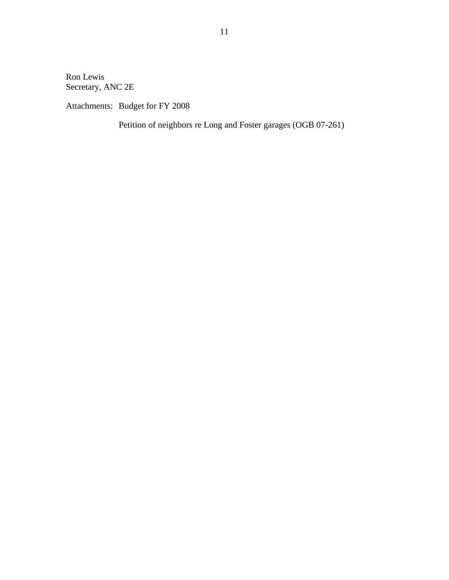Ron Lewis Secretary, ANC 2E

Attachments: Budget for FY 2008

Petition of neighbors re Long and Foster garages (OGB 07-261)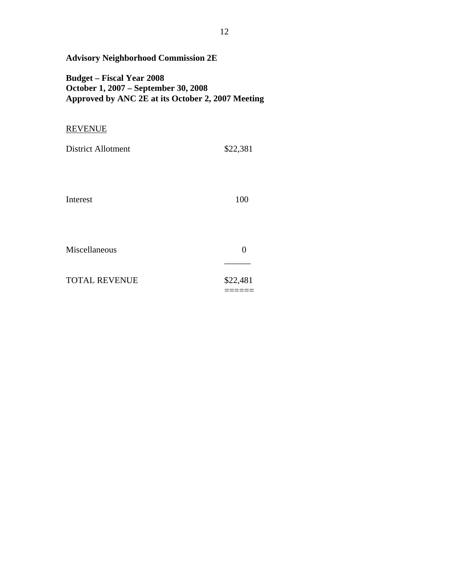| <b>Budget – Fiscal Year 2008</b><br>October 1, 2007 – September 30, 2008<br>Approved by ANC 2E at its October 2, 2007 Meeting |                    |
|-------------------------------------------------------------------------------------------------------------------------------|--------------------|
| REVENUE                                                                                                                       |                    |
| <b>District Allotment</b>                                                                                                     | \$22,381           |
| Interest                                                                                                                      | 100                |
| Miscellaneous                                                                                                                 | $\overline{0}$     |
| <b>TOTAL REVENUE</b>                                                                                                          | \$22,481<br>====== |

**Advisory Neighborhood Commission 2E**